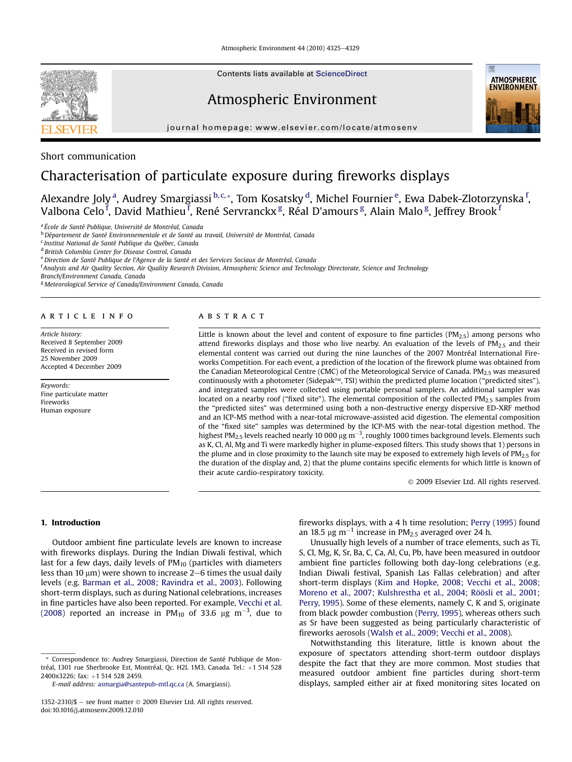Atmospheric Environment 44 (2010) 4325-4329



Contents lists available at ScienceDirect

## Atmospheric Environment

journal homepage:<www.elsevier.com/locate/atmosenv>



## Short communication

# Characterisation of particulate exposure during fireworks displays

Alexandre Joly <sup>a</sup>, Audrey Smargiassi <sup>b,c,</sup>\*, Tom Kosatsky <sup>d</sup>, Michel Fournier <sup>e</sup>, Ewa Dabek-Zlotorzynska <sup>f</sup>, Valbona Celo <sup>f</sup>, David Mathieu <sup>f</sup>, René Servranckx <sup>g</sup>, Réal D'amours <sup>g</sup>, Alain Malo <sup>g</sup>, Jeffrey Brook <sup>f</sup>

<sup>a</sup> École de Santé Publique, Université de Montréal, Canada

<sup>b</sup> Département de Santé Environnementale et de Santé au travail, Université de Montréal, Canada

<sup>c</sup> Institut National de Santé Publique du Québec, Canada

<sup>d</sup> British Columbia Center for Disease Control, Canada

e Direction de Santé Publique de l'Agence de la Santé et des Services Sociaux de Montréal, Canada

<sup>f</sup> Analysis and Air Quality Section, Air Quality Research Division, Atmospheric Science and Technology Directorate, Science and Technology

Branch/Environment Canada, Canada

<sup>g</sup> Meteorological Service of Canada/Environment Canada, Canada

#### article info

Article history: Received 8 September 2009 Received in revised form 25 November 2009 Accepted 4 December 2009

Keywords: Fine particulate matter Fireworks Human exposure

## **ABSTRACT**

Little is known about the level and content of exposure to fine particles ( $PM_{2.5}$ ) among persons who attend fireworks displays and those who live nearby. An evaluation of the levels of  $PM_{2.5}$  and their elemental content was carried out during the nine launches of the 2007 Montréal International Fireworks Competition. For each event, a prediction of the location of the firework plume was obtained from the Canadian Meteorological Centre (CMC) of the Meteorological Service of Canada. PM $_{2.5}$  was measured continuously with a photometer (Sidepak<sup> $M$ </sup>, TSI) within the predicted plume location ("predicted sites"), and integrated samples were collected using portable personal samplers. An additional sampler was located on a nearby roof ("fixed site"). The elemental composition of the collected  $PM_{2.5}$  samples from the "predicted sites" was determined using both a non-destructive energy dispersive ED-XRF method and an ICP-MS method with a near-total microwave-assisted acid digestion. The elemental composition of the "fixed site" samples was determined by the ICP-MS with the near-total digestion method. The highest PM<sub>2.5</sub> levels reached nearly 10 000 µg m<sup>-3</sup>, roughly 1000 times background levels. Elements such as K, Cl, Al, Mg and Ti were markedly higher in plume-exposed filters. This study shows that 1) persons in the plume and in close proximity to the launch site may be exposed to extremely high levels of PM2.5 for the duration of the display and, 2) that the plume contains specific elements for which little is known of their acute cardio-respiratory toxicity.

2009 Elsevier Ltd. All rights reserved.

### 1. Introduction

Outdoor ambient fine particulate levels are known to increase with fireworks displays. During the Indian Diwali festival, which last for a few days, daily levels of  $PM_{10}$  (particles with diameters less than 10  $\mu$ m) were shown to increase 2–6 times the usual daily levels (e.g. [Barman et al., 2008; Ravindra et al., 2003](#page-3-0)). Following short-term displays, such as during National celebrations, increases in fine particles have also been reported. For example, [Vecchi et al.](#page-4-0) [\(2008\)](#page-4-0) reported an increase in PM<sub>10</sub> of 33.6  $\mu$ g m<sup>-3</sup>, due to

fireworks displays, with a 4 h time resolution; [Perry \(1995\)](#page-4-0) found an 18.5  $\mu$ g m<sup>-1</sup> increase in PM<sub>2.5</sub> averaged over 24 h.

Unusually high levels of a number of trace elements, such as Ti, S, Cl, Mg, K, Sr, Ba, C, Ca, Al, Cu, Pb, have been measured in outdoor ambient fine particles following both day-long celebrations (e.g. Indian Diwali festival, Spanish Las Fallas celebration) and after short-term displays ([Kim and Hopke, 2008; Vecchi et al., 2008;](#page-3-0) [Moreno et al., 2007; Kulshrestha et al., 2004; Röösli et al., 2001;](#page-3-0) [Perry, 1995\)](#page-3-0). Some of these elements, namely C, K and S, originate from black powder combustion ([Perry, 1995](#page-4-0)), whereas others such as Sr have been suggested as being particularly characteristic of fireworks aerosols [\(Walsh et al., 2009; Vecchi et al., 2008\)](#page-4-0).

Notwithstanding this literature, little is known about the exposure of spectators attending short-term outdoor displays despite the fact that they are more common. Most studies that measured outdoor ambient fine particles during short-term displays, sampled either air at fixed monitoring sites located on

Correspondence to: Audrey Smargiassi, Direction de Santé Publique de Montréal, 1301 rue Sherbrooke Est, Montréal, Qc. H2L 1M3, Canada. Tel.: +1 514 528 2400x3226; fax: +1 514 528 2459.

E-mail address: [asmargia@santepub-mtl.qc.ca](mailto:asmargia@santepub-mtl.qc.ca) (A. Smargiassi).

<sup>1352-2310/\$ -</sup> see front matter  $\odot$  2009 Elsevier Ltd. All rights reserved. doi:10.1016/j.atmosenv.2009.12.010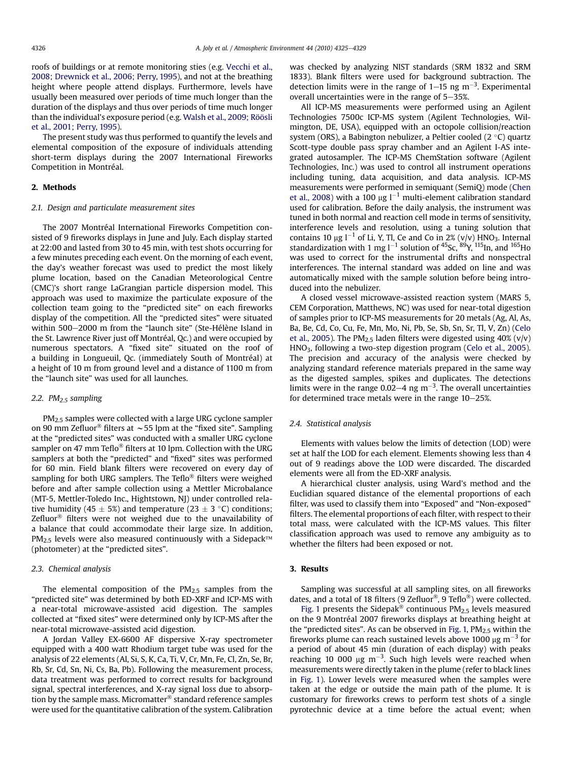roofs of buildings or at remote monitoring sties (e.g. [Vecchi et al.,](#page-4-0) [2008; Drewnick et al., 2006; Perry, 1995\)](#page-4-0), and not at the breathing height where people attend displays. Furthermore, levels have usually been measured over periods of time much longer than the duration of the displays and thus over periods of time much longer than the individual's exposure period (e.g. [Walsh et al., 2009; Röösli](#page-4-0) [et al., 2001; Perry, 1995\)](#page-4-0).

The present study was thus performed to quantify the levels and elemental composition of the exposure of individuals attending short-term displays during the 2007 International Fireworks Competition in Montréal.

## 2. Methods

#### 2.1. Design and particulate measurement sites

The 2007 Montréal International Fireworks Competition consisted of 9 fireworks displays in June and July. Each display started at 22:00 and lasted from 30 to 45 min, with test shots occurring for a few minutes preceding each event. On the morning of each event, the day's weather forecast was used to predict the most likely plume location, based on the Canadian Meteorological Centre (CMC)'s short range LaGrangian particle dispersion model. This approach was used to maximize the particulate exposure of the collection team going to the "predicted site" on each fireworks display of the competition. All the "predicted sites" were situated within 500-2000 m from the "launch site" (Ste-Hélène Island in the St. Lawrence River just off Montréal, Qc.) and were occupied by numerous spectators. A "fixed site" situated on the roof of a building in Longueuil, Qc. (immediately South of Montréal) at a height of 10 m from ground level and a distance of 1100 m from the "launch site" was used for all launches.

## 2.2.  $PM<sub>2.5</sub> sampling$

 $PM<sub>2.5</sub>$  samples were collected with a large URG cyclone sampler on 90 mm Zefluor<sup>®</sup> filters at  $\sim$  55 lpm at the "fixed site". Sampling at the "predicted sites" was conducted with a smaller URG cyclone sampler on 47 mm Teflo $^{\circledR}$  filters at 10 lpm. Collection with the URG samplers at both the "predicted" and "fixed" sites was performed for 60 min. Field blank filters were recovered on every day of sampling for both URG samplers. The Teflo $\textdegree$  filters were weighed before and after sample collection using a Mettler Microbalance (MT-5, Mettler-Toledo Inc., Hightstown, NJ) under controlled relative humidity (45  $\pm$  5%) and temperature (23  $\pm$  3 °C) conditions; Zefluor $<sup>®</sup>$  filters were not weighed due to the unavailability of</sup> a balance that could accommodate their large size. In addition,  $PM_{2.5}$  levels were also measured continuously with a Sidepack<sup>TM</sup> (photometer) at the "predicted sites".

### 2.3. Chemical analysis

The elemental composition of the  $PM<sub>2.5</sub>$  samples from the "predicted site" was determined by both ED-XRF and ICP-MS with a near-total microwave-assisted acid digestion. The samples collected at "fixed sites" were determined only by ICP-MS after the near-total microwave-assisted acid digestion.

A Jordan Valley EX-6600 AF dispersive X-ray spectrometer equipped with a 400 watt Rhodium target tube was used for the analysis of 22 elements (Al, Si, S, K, Ca, Ti, V, Cr, Mn, Fe, Cl, Zn, Se, Br, Rb, Sr, Cd, Sn, Ni, Cs, Ba, Pb). Following the measurement process, data treatment was performed to correct results for background signal, spectral interferences, and X-ray signal loss due to absorption by the sample mass. Micromatter $\mathcal P$  standard reference samples were used for the quantitative calibration of the system. Calibration was checked by analyzing NIST standards (SRM 1832 and SRM 1833). Blank filters were used for background subtraction. The detection limits were in the range of  $1-15$  ng m<sup>-3</sup>. Experimental overall uncertainties were in the range of  $5-35$ %.

All ICP-MS measurements were performed using an Agilent Technologies 7500c ICP-MS system (Agilent Technologies, Wilmington, DE, USA), equipped with an octopole collision/reaction system (ORS), a Babington nebulizer, a Peltier cooled (2 $\degree$ C) quartz Scott-type double pass spray chamber and an Agilent I-AS integrated autosampler. The ICP-MS ChemStation software (Agilent Technologies, Inc.) was used to control all instrument operations including tuning, data acquisition, and data analysis. ICP-MS measurements were performed in semiquant (SemiQ) mode ([Chen](#page-3-0) [et al., 2008](#page-3-0)) with a 100  $\mu$ g l<sup>-1</sup> multi-element calibration standard used for calibration. Before the daily analysis, the instrument was tuned in both normal and reaction cell mode in terms of sensitivity, interference levels and resolution, using a tuning solution that contains 10  $\mu$ g l<sup>-1</sup> of Li, Y, Tl, Ce and Co in 2% (v/v) HNO<sub>3</sub>. Internal standardization with 1 mg  $1^{-1}$  solution of <sup>45</sup>Sc, <sup>89</sup>Y, <sup>115</sup>In, and <sup>165</sup>Ho was used to correct for the instrumental drifts and nonspectral interferences. The internal standard was added on line and was automatically mixed with the sample solution before being introduced into the nebulizer.

A closed vessel microwave-assisted reaction system (MARS 5, CEM Corporation, Matthews, NC) was used for near-total digestion of samples prior to ICP-MS measurements for 20 metals (Ag, Al, As, Ba, Be, Cd, Co, Cu, Fe, Mn, Mo, Ni, Pb, Se, Sb, Sn, Sr, Tl, V, Zn) ([Celo](#page-3-0) [et al., 2005\)](#page-3-0). The PM<sub>2.5</sub> laden filters were digested using  $40\%$  (v/v) HNO3, following a two-step digestion program [\(Celo et al., 2005\)](#page-3-0). The precision and accuracy of the analysis were checked by analyzing standard reference materials prepared in the same way as the digested samples, spikes and duplicates. The detections limits were in the range 0.02–4 ng  $m^{-3}$ . The overall uncertainties for determined trace metals were in the range  $10-25%$ .

#### 2.4. Statistical analysis

Elements with values below the limits of detection (LOD) were set at half the LOD for each element. Elements showing less than 4 out of 9 readings above the LOD were discarded. The discarded elements were all from the ED-XRF analysis.

A hierarchical cluster analysis, using Ward's method and the Euclidian squared distance of the elemental proportions of each filter, was used to classify them into "Exposed" and "Non-exposed" filters. The elemental proportions of each filter, with respect to their total mass, were calculated with the ICP-MS values. This filter classification approach was used to remove any ambiguity as to whether the filters had been exposed or not.

## 3. Results

Sampling was successful at all sampling sites, on all fireworks dates, and a total of 18 filters (9 Zefluor<sup>®</sup>, 9 Teflo<sup>®</sup>) were collected.

[Fig. 1](#page-2-0) presents the Sidepak<sup>®</sup> continuous  $PM<sub>2.5</sub>$  levels measured on the 9 Montréal 2007 fireworks displays at breathing height at the "predicted sites". As can be observed in [Fig. 1,](#page-2-0)  $PM<sub>2.5</sub>$  within the fireworks plume can reach sustained levels above 1000  $\mu$ g m<sup>-3</sup> for a period of about 45 min (duration of each display) with peaks reaching 10 000  $\mu$ g m<sup>-3</sup>. Such high levels were reached when measurements were directly taken in the plume (refer to black lines in [Fig. 1\)](#page-2-0). Lower levels were measured when the samples were taken at the edge or outside the main path of the plume. It is customary for fireworks crews to perform test shots of a single pyrotechnic device at a time before the actual event; when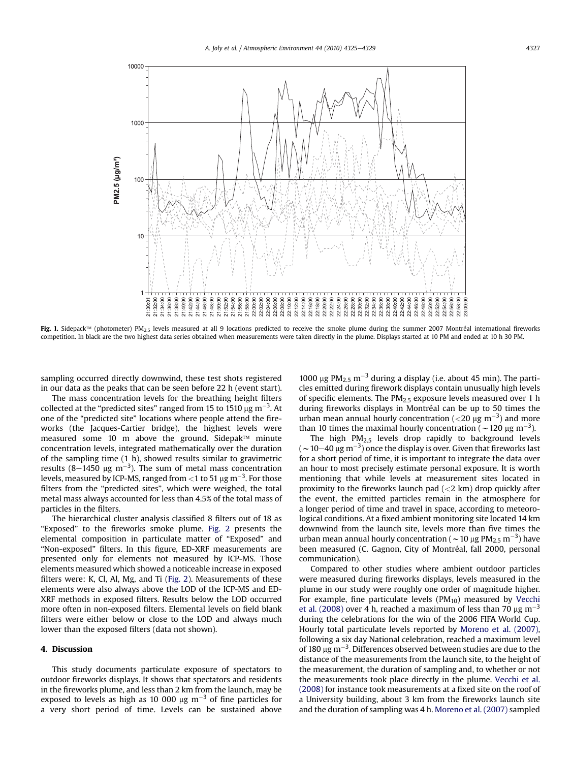<span id="page-2-0"></span>

Fig. 1. Sidepack<sup>TM</sup> (photometer) PM<sub>2.5</sub> levels measured at all 9 locations predicted to receive the smoke plume during the summer 2007 Montréal international fireworks competition. In black are the two highest data series obtained when measurements were taken directly in the plume. Displays started at 10 PM and ended at 10 h 30 PM.

sampling occurred directly downwind, these test shots registered in our data as the peaks that can be seen before 22 h (event start).

The mass concentration levels for the breathing height filters collected at the "predicted sites" ranged from 15 to 1510  $\mu$ g m $^{-3}$ . At one of the "predicted site" locations where people attend the fireworks (the Jacques-Cartier bridge), the highest levels were measured some 10 m above the ground. Sidepak $TM$  minute concentration levels, integrated mathematically over the duration of the sampling time (1 h), showed results similar to gravimetric results (8–1450  $\mu$ g m<sup>-3</sup>). The sum of metal mass concentration levels, measured by ICP-MS, ranged from  $<$  1 to 51  $\rm \mu g\, m^{-3}.$  For those filters from the "predicted sites", which were weighed, the total metal mass always accounted for less than 4.5% of the total mass of particles in the filters.

The hierarchical cluster analysis classified 8 filters out of 18 as "Exposed" to the fireworks smoke plume. [Fig. 2](#page-3-0) presents the elemental composition in particulate matter of "Exposed" and "Non-exposed" filters. In this figure, ED-XRF measurements are presented only for elements not measured by ICP-MS. Those elements measured which showed a noticeable increase in exposed filters were: K, Cl, Al, Mg, and Ti [\(Fig. 2\)](#page-3-0). Measurements of these elements were also always above the LOD of the ICP-MS and ED-XRF methods in exposed filters. Results below the LOD occurred more often in non-exposed filters. Elemental levels on field blank filters were either below or close to the LOD and always much lower than the exposed filters (data not shown).

## 4. Discussion

This study documents particulate exposure of spectators to outdoor fireworks displays. It shows that spectators and residents in the fireworks plume, and less than 2 km from the launch, may be exposed to levels as high as 10 000  $\mu$ g m<sup>-3</sup> of fine particles for a very short period of time. Levels can be sustained above 1000  $\mu$ g PM<sub>2.5</sub> m<sup>-3</sup> during a display (i.e. about 45 min). The particles emitted during firework displays contain unusually high levels of specific elements. The  $PM<sub>2.5</sub>$  exposure levels measured over 1 h during fireworks displays in Montréal can be up to 50 times the urban mean annual hourly concentration ( $<$ 20  $\mu$ g m $^{-3}$ ) and more than 10 times the maximal hourly concentration ( $\sim$  120  $\mu$ g m<sup>-3</sup>).

The high  $PM<sub>2.5</sub>$  levels drop rapidly to background levels (  $\sim$  10–40  $\rm \mu g\,m^{-3})$  once the display is over. Given that fireworks last for a short period of time, it is important to integrate the data over an hour to most precisely estimate personal exposure. It is worth mentioning that while levels at measurement sites located in proximity to the fireworks launch pad  $(< 2 \text{ km})$  drop quickly after the event, the emitted particles remain in the atmosphere for a longer period of time and travel in space, according to meteorological conditions. At a fixed ambient monitoring site located 14 km downwind from the launch site, levels more than five times the urban mean annual hourly concentration (  $\sim$  10  $\mu$ g PM<sub>2.5</sub> m<sup>-3</sup>) have been measured (C. Gagnon, City of Montréal, fall 2000, personal communication).

Compared to other studies where ambient outdoor particles were measured during fireworks displays, levels measured in the plume in our study were roughly one order of magnitude higher. For example, fine particulate levels ( $PM_{10}$ ) measured by [Vecchi](#page-4-0) [et al. \(2008\)](#page-4-0) over 4 h, reached a maximum of less than 70  $\mu$ g m<sup>-3</sup> during the celebrations for the win of the 2006 FIFA World Cup. Hourly total particulate levels reported by [Moreno et al. \(2007\),](#page-3-0) following a six day National celebration, reached a maximum level of 180  $\mu$ g m $^{-3}$ . Differences observed between studies are due to the distance of the measurements from the launch site, to the height of the measurement, the duration of sampling and, to whether or not the measurements took place directly in the plume. [Vecchi et al.](#page-4-0) [\(2008\)](#page-4-0) for instance took measurements at a fixed site on the roof of a University building, about 3 km from the fireworks launch site and the duration of sampling was 4 h. [Moreno et al. \(2007\)](#page-3-0) sampled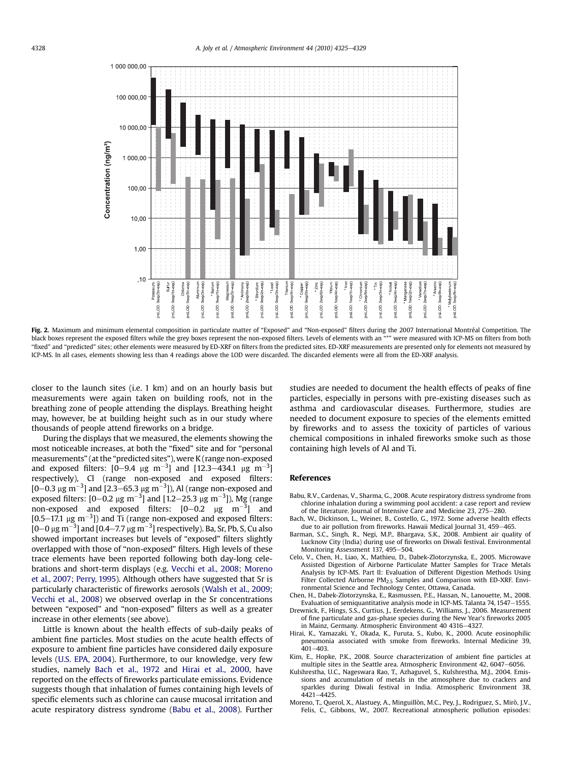<span id="page-3-0"></span>

Fig. 2. Maximum and minimum elemental composition in particulate matter of "Exposed" and "Non-exposed" filters during the 2007 International Montréal Competition. The black boxes represent the exposed filters while the grey boxes represent the non-exposed filters. Levels of elements with an "\*" were measured with ICP-MS on filters from both "fixed" and "predicted" sites; other elements were measured by ED-XRF on filters from the predicted sites. ED-XRF measurements are presented only for elements not measured by ICP-MS. In all cases, elements showing less than 4 readings above the LOD were discarded. The discarded elements were all from the ED-XRF analysis.

closer to the launch sites (i.e. 1 km) and on an hourly basis but measurements were again taken on building roofs, not in the breathing zone of people attending the displays. Breathing height may, however, be at building height such as in our study where thousands of people attend fireworks on a bridge.

During the displays that we measured, the elements showing the most noticeable increases, at both the "fixed" site and for "personal measurements" (at the "predicted sites"), were K (range non-exposed and exposed filters: [0–9.4  $\mu$ g m<sup>-3</sup>] and [12.3–434.1  $\mu$ g m<sup>-3</sup>] respectively), Cl (range non-exposed and exposed filters:  $[0-0.3 \ \mu g \ m^{-3}]$  and  $[2.3-65.3 \ \mu g \ m^{-3}]$ ), Al (range non-exposed and exposed filters: [0–0.2  $\mu$ g m<sup>–3</sup>] and [1.2–25.3  $\mu$ g m<sup>–3</sup>]), Mg (range non-exposed and exposed filters:  $[0-0.2 \mu g \ m^{-3}]$  and [0.5–17.1  $\mu$ g m<sup>-3</sup>]) and Ti (range non-exposed and exposed filters:  $[0\text{--}0$   $\mu$ g m $^{-3}$ ] and  $[0.4\text{--}7.7$   $\mu$ g m $^{-3}$ ] respectively). Ba, Sr, Pb, S, Cu also showed important increases but levels of "exposed" filters slightly overlapped with those of "non-exposed" filters. High levels of these trace elements have been reported following both day-long celebrations and short-term displays (e.g. [Vecchi et al., 2008; Moreno](#page-4-0) [et al., 2007; Perry, 1995\)](#page-4-0). Although others have suggested that Sr is particularly characteristic of fireworks aerosols ([Walsh et al., 2009;](#page-4-0) [Vecchi et al., 2008](#page-4-0)) we observed overlap in the Sr concentrations between "exposed" and "non-exposed" filters as well as a greater increase in other elements (see above).

Little is known about the health effects of sub-daily peaks of ambient fine particles. Most studies on the acute health effects of exposure to ambient fine particles have considered daily exposure levels [\(U.S. EPA, 2004](#page-4-0)). Furthermore, to our knowledge, very few studies, namely Bach et al., 1972 and Hirai et al., 2000, have reported on the effects of fireworks particulate emissions. Evidence suggests though that inhalation of fumes containing high levels of specific elements such as chlorine can cause mucosal irritation and acute respiratory distress syndrome (Babu et al., 2008). Further studies are needed to document the health effects of peaks of fine particles, especially in persons with pre-existing diseases such as asthma and cardiovascular diseases. Furthermore, studies are needed to document exposure to species of the elements emitted by fireworks and to assess the toxicity of particles of various chemical compositions in inhaled fireworks smoke such as those containing high levels of Al and Ti.

## References

- Babu, R.V., Cardenas, V., Sharma, G., 2008. Acute respiratory distress syndrome from chlorine inhalation during a swimming pool accident: a case report and review of the literature. Journal of Intensive Care and Medicine 23, 275-280.
- Bach, W., Dickinson, L., Weiner, B., Costello, G., 1972. Some adverse health effects due to air pollution from fireworks. Hawaii Medical Journal 31, 459-465.
- Barman, S.C., Singh, R., Negi, M.P., Bhargava, S.K., 2008. Ambient air quality of Lucknow City (India) during use of fireworks on Diwali festival. Environmental Monitoring Assessment 137, 495-504.
- Celo, V., Chen, H., Liao, X., Mathieu, D., Dabek-Zlotorzynska, E., 2005. Microwave Assisted Digestion of Airborne Particulate Matter Samples for Trace Metals Analysis by ICP-MS. Part II: Evaluation of Different Digestion Methods Using Filter Collected Airborne PM<sub>2.5</sub> Samples and Comparison with ED-XRF. Environmental Science and Technology Center, Ottawa, Canada.
- Chen, H., Dabek-Zlotorzynska, E., Rasmussen, P.E., Hassan, N., Lanouette, M., 2008. Evaluation of semiquantitative analysis mode in ICP-MS. Talanta 74, 1547-1555.
- Drewnick, F., Hings, S.S., Curtius, J., Eerdekens, G., Williams, J., 2006. Measurement of fine particulate and gas-phase species during the New Year's fireworks 2005 in Mainz, Germany. Atmospheric Environment 40 4316-4327.
- Hirai, K., Yamazaki, Y., Okada, K., Furuta, S., Kubo, K., 2000. Acute eosinophilic pneumonia associated with smoke from fireworks. Internal Medicine 39,  $401 - 403$
- Kim, E., Hopke, P.K., 2008. Source characterization of ambient fine particles at multiple sites in the Seattle area. Atmospheric Environment 42, 6047-6056.
- Kulshrestha, U.C., Nageswara Rao, T., Azhaguvel, S., Kulshrestha, M.J., 2004. Emissions and accumulation of metals in the atmosphere due to crackers and sparkles during Diwali festival in India. Atmospheric Environment 38, 4421-4425.
- Moreno, T., Querol, X., Alastuey, A., Minguillòn, M.C., Pey, J., Rodriguez, S., Mirò, J.V., Felis, C., Gibbons, W., 2007. Recreational atmospheric pollution episodes: